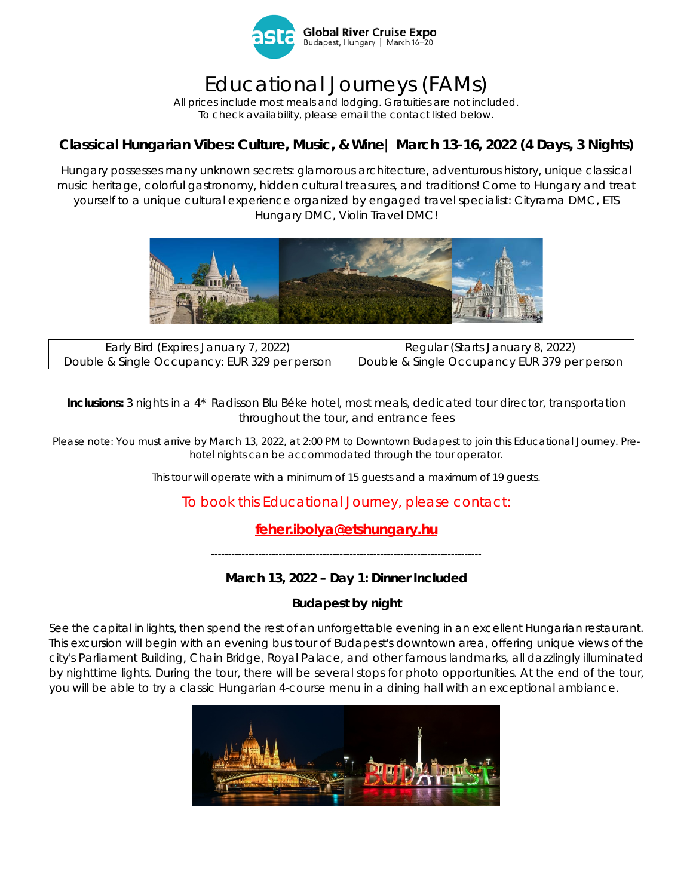

# Educational Journeys (FAMs)

*All prices include most meals and lodging. Gratuities are not included. To check availability, please email the contact listed below.*

# **Classical Hungarian Vibes: Culture, Music, & Wine| March 13-16, 2022 (4 Days, 3 Nights)**

Hungary possesses many unknown secrets: glamorous architecture, adventurous history, unique classical music heritage, colorful gastronomy, hidden cultural treasures, and traditions! Come to Hungary and treat yourself to a unique cultural experience organized by engaged travel specialist: Cityrama DMC, ETS Hungary DMC, Violin Travel DMC!



| Early Bird (Expires January 7, 2022)          | Regular (Starts January 8, 2022)             |
|-----------------------------------------------|----------------------------------------------|
| Double & Single Occupancy: EUR 329 per person | Double & Single Occupancy EUR 379 per person |

**Inclusions:** 3 nights in a 4\* Radisson Blu Béke hotel, most meals, dedicated tour director, transportation throughout the tour, and entrance fees

*Please note: You must arrive by March 13, 2022, at 2:00 PM to Downtown Budapest to join this Educational Journey. Prehotel nights can be accommodated through the tour operator.* 

*This tour will operate with a minimum of 15 guests and a maximum of 19 guests.*

# To book this Educational Journey, please contact:

# **[feher.ibolya@etshungary.hu](mailto:feher.ibolya@etshungary.hu)**

*--------------------------------------------------------------------------------*

## **March 13, 2022 – Day 1: Dinner Included**

## **Budapest by night**

See the capital in lights, then spend the rest of an unforgettable evening in an excellent Hungarian restaurant. This excursion will begin with an evening bus tour of Budapest's downtown area, offering unique views of the city's Parliament Building, Chain Bridge, Royal Palace, and other famous landmarks, all dazzlingly illuminated by nighttime lights. During the tour, there will be several stops for photo opportunities. At the end of the tour, you will be able to try a classic Hungarian 4-course menu in a dining hall with an exceptional ambiance.

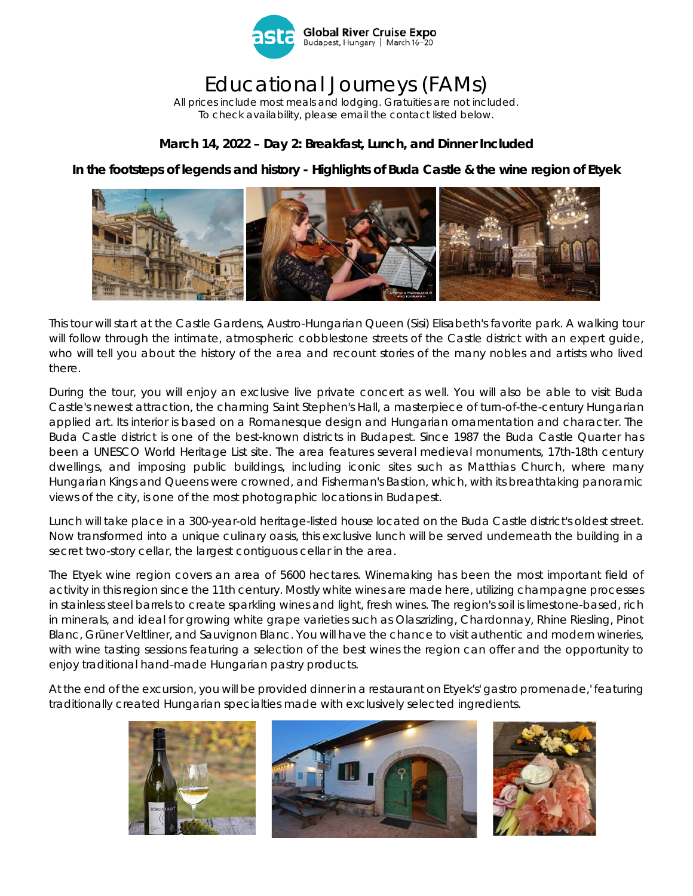

# Educational Journeys (FAMs)

*All prices include most meals and lodging. Gratuities are not included. To check availability, please email the contact listed below.*

#### **March 14, 2022 – Day 2: Breakfast, Lunch, and Dinner Included**

**In the footsteps of legends and history - Highlights of Buda Castle & the wine region of Etyek**



This tour will start at the Castle Gardens, Austro-Hungarian Queen (Sisi) Elisabeth's favorite park. A walking tour will follow through the intimate, atmospheric cobblestone streets of the Castle district with an expert guide, who will tell you about the history of the area and recount stories of the many nobles and artists who lived there.

During the tour, you will enjoy an exclusive live private concert as well. You will also be able to visit Buda Castle's newest attraction, the charming Saint Stephen's Hall, a masterpiece of turn-of-the-century Hungarian applied art. Its interior is based on a Romanesque design and Hungarian ornamentation and character. The Buda Castle district is one of the best-known districts in Budapest. Since 1987 the Buda Castle Quarter has been a UNESCO World Heritage List site. The area features several medieval monuments, 17th-18th century dwellings, and imposing public buildings, including iconic sites such as Matthias Church, where many Hungarian Kings and Queens were crowned, and Fisherman's Bastion, which, with its breathtaking panoramic views of the city, is one of the most photographic locations in Budapest.

Lunch will take place in a 300-year-old heritage-listed house located on the Buda Castle district's oldest street. Now transformed into a unique culinary oasis, this exclusive lunch will be served underneath the building in a secret two-story cellar, the largest contiguous cellar in the area.

The Etyek wine region covers an area of 5600 hectares. Winemaking has been the most important field of activity in this region since the 11th century. Mostly white wines are made here, utilizing champagne processes in stainless steel barrels to create sparkling wines and light, fresh wines. The region's soil is limestone-based, rich in minerals, and ideal for growing white grape varieties such as Olaszrizling, Chardonnay, Rhine Riesling, Pinot Blanc, Grüner Veltliner, and Sauvignon Blanc. You will have the chance to visit authentic and modern wineries, with wine tasting sessions featuring a selection of the best wines the region can offer and the opportunity to enjoy traditional hand-made Hungarian pastry products.

At the end of the excursion, you will be provided dinner in a restaurant on Etyek's' gastro promenade,' featuring traditionally created Hungarian specialties made with exclusively selected ingredients.